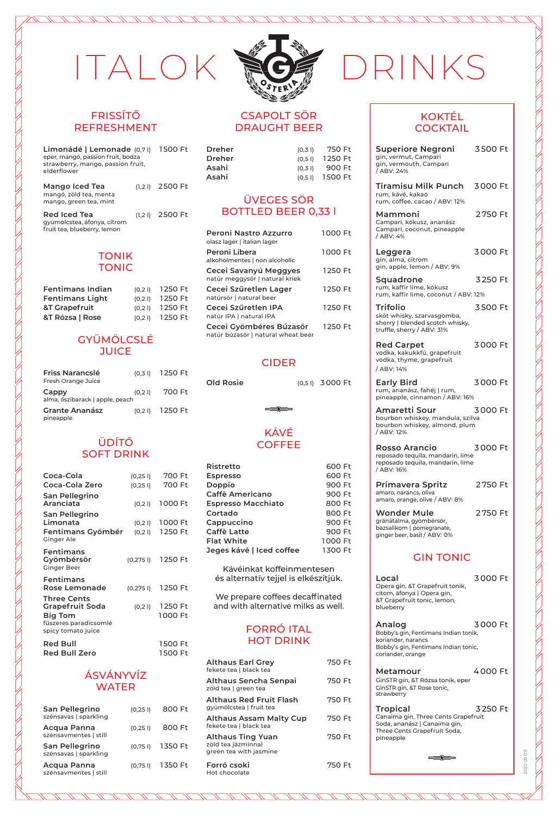#### FRISSÍTŐ REFRESHMENT

| Limonádé   Lemonade (0,71)<br>eper, mangó, passion fruit, bodza<br>strawberry, mango, passion fruit,<br>elderflower |       | 1500 Ft |
|---------------------------------------------------------------------------------------------------------------------|-------|---------|
| Mango Iced Tea<br>mangó, zöld tea, menta<br>mango, green tea, mint                                                  | (1.2) | 2500 Ft |
| Red Iced Tea<br>gyümölcstea, áfonya, citrom<br>fruit tea, blueberry, lemon                                          | (1.2) | 2500 Ft |

#### TONIK TONIC

| <b>Fentimans Indian</b> | (0.2) | 1250 Ft |
|-------------------------|-------|---------|
| <b>Fentimans Light</b>  | (0.2) | 1250 Ft |
| &T Grapefruit           | (0.2) | 1250 Ft |
| &T Rózsa   Rose         | (0.2) | 1250 Ft |

#### GYÜMÖLCSLÉ **JUICE**

| Friss Narancslé<br>Fresh Orange Juice    | (0.3) | 1250 Ft |
|------------------------------------------|-------|---------|
| Cappy<br>alma, őszibarack   apple, peach | (0,2) | 700 Ft  |
| Grante Ananász<br>pineapple              | (0,2) | 1250 Ft |

#### ÜDÍTŐ SOFT DRINK

| Coca-Cola                                                                                              | (0,25)  | 700 Ft             |
|--------------------------------------------------------------------------------------------------------|---------|--------------------|
| Coca-Cola Zero                                                                                         | (0,25)  | 700 Ft             |
| San Pellegrino<br>Aranciata                                                                            | (0,2)   | 1000 Ft            |
| San Pellegrino<br>Limonata                                                                             | (0,2)   | 1000 Ft<br>1250 Ft |
| Fentimans Gyömbér<br>Ginger Ale                                                                        | (0, 2)  |                    |
| Fentimans<br>Gyömbérsör<br><b>Ginger Beer</b>                                                          |         | (0,275 l) 1250 Ft  |
| Fentimans<br><b>Rose Lemonade</b>                                                                      | (0,275) | 1250 Ft            |
| Three Cents<br><b>Grapefruit Soda</b><br><b>Big Tom</b><br>fűszeres paradicsomlé<br>spicy tomato juice | (0, 2)  | 1250 Ft<br>1000 Ft |
| <b>Red Bull</b>                                                                                        |         | 1500 Ft            |
| Red Bull Zero                                                                                          |         | 1500 Ft            |

#### ÁSVÁNYVÍZ WATER

| San Pellegrino<br>szénsavas   sparkling | (0,25) | 800 Ft  |
|-----------------------------------------|--------|---------|
| Acqua Panna<br>szénsavmentes   still    | (0,25) | 800 Ft  |
| San Pellegrino<br>szénsavas   sparkling | (0,75) | 1350 Ft |
| Acqua Panna<br>szénsavmentes   still    | (0,75) | 1350 Ft |
|                                         |        |         |



#### CSAPOLT SÖR DRAUGHT BEER

| Dreher | (0.3)        | 750 Ft  |
|--------|--------------|---------|
| Dreher | (0.5)        | 1250 Ft |
| Asahi  | (0.3)        | 900 Ft  |
| Asahi  | $(0.5 \, I)$ | 1500 Ft |

#### ÜVEGES SÖR BOTTLED BEER 0,33 l

| Peroni Nastro Azzurro<br>olasz lager   italian lager          | 1000 Ft |
|---------------------------------------------------------------|---------|
| Peroni Libera<br>alkoholmentes   non alcoholic                | 1000 Ft |
| Cecei Savanyú Meggyes<br>natúr meggysör   natural kriek       | 1250 Ft |
| Cecei Szűretlen Lager<br>natúrsör   natural beer              | 1250 Ft |
| Cecei Szűretlen IPA<br>natúr IPA   natural IPA                | 1250 Ft |
| Cecei Gyömbéres Búzasör<br>natúr búzasör   natural wheat beer | 1250 Ft |

#### CIDER

**Old Rosie** (0,5 l) 3 000 Ft

KÁVÉ

 $\Rightarrow$ 

#### **COFFEE Ristretto** 600 Ft **Espresso** 600 Ft **Doppio** 900 Ft **Caffè Americano** 900 Ft **Espresso Macchiato** 800 Ft **Cortado** 800 Ft **Cappuccino** 900 Ft

**Caffè Latte** 900 Ft **Flat White** 1 000 Ft **Jeges kávé | Iced coffee** 1 300 Ft Kávéinkat koffeinmentesen

és alternatív tejjel is elkészítjük.

We prepare coffees decaffinated and with alternative milks as well.

#### FORRÓ ITAL HOT DRINK

| <b>Althaus Earl Grey</b><br>fekete tea   black tea                | 750 Ft |
|-------------------------------------------------------------------|--------|
| Althaus Sencha Senpai<br>zöld tea   green tea                     | 750 Ft |
| Althaus Red Fruit Flash<br>gyümölcstea   fruit tea                | 750 Ft |
| Althaus Assam Malty Cup<br>fekete tea   black tea                 | 750 Ft |
| Althaus Ting Yuan<br>zöld tea jázminnal<br>green tea with jasmine | 750 Ft |
| Forró csoki<br>Hot chocolate                                      | 750 Ft |

# ITALOK NGE DRINKS

#### KOKTÉL **COCKTAIL**

| Superiore Negroni<br>gin, vermut, Campari<br>gin, vermouth, Campari<br>/ ABV: 24%                                                   | 3500 Ft |
|-------------------------------------------------------------------------------------------------------------------------------------|---------|
| Tiramisu Milk Punch<br>rum, kávé, kakaó<br>rum, coffee, cacao / ABV: 12%                                                            | 3000 Ft |
| Mammoni<br>Campari, kókusz, ananász<br>Campari, coconut, pineapple<br>/ ABV: 4%                                                     | 2750 Ft |
| Leggera<br>gin, alma, citrom<br>gin, apple, lemon / ABV: 9%                                                                         | 3000 Ft |
| Squadrone<br>rum, kaffir lime, kókusz<br>rum, kaffir lime, coconut / ABV: 12%                                                       | 3250 Ft |
| <b>Trifolio</b><br>skót whisky, szarvasgomba,<br>sherry   blended scotch whisky,<br>truffle, sherry / ABV: 31%                      | 3500 Ft |
| <b>Red Carpet</b><br>vodka, kakukkfű, grapefruit<br>vodka, thyme, grapefruit<br>/ ABV: 14%                                          | 3000 Ft |
| <b>Early Bird</b><br>rum, ananász, fahéj   rum,<br>pineapple, cinnamon / ABV: 16%                                                   | 3000 Ft |
| Amaretti Sour<br>bourbon whiskey, mandula, szilva<br>bourbon whiskey, almond, plum<br>/ ABV: 12%                                    | 3000 Ft |
| <b>Rosso Arancio</b><br>reposado tequila, mandarin, lime<br>reposado tequila, mandarin, lime<br>/ ABV: 16%                          | 3000 Ft |
| Primavera Spritz<br>amaro, narancs, oliva<br>amaro, orange, olive / ABV: 8%                                                         | 2750 Ft |
| <b>Wonder Mule</b><br>gránátalma, gyömbérsör,<br>bazsalikom   pomegranate,<br>ginger beer, basil / ABV: 0%                          | 2750 Ft |
| <b>GIN TONIC</b>                                                                                                                    |         |
| Local<br>Opera gin, &T Grapefruit tonik,<br>citom, áfonya   Opera gin,<br>&T Grapefruit tonic, lemon,<br>blueberry                  | 3000 Ft |
| Analog<br>Bobby's gin, Fentimans Indian tonik,<br>koriander, narancs<br>Bobby's gin, Fentimans Indian tonic,<br>coriander, orange   | 3000 Ft |
| Metamour<br>GinSTR gin, &T Rózsa tonik, eper<br>GinSTR gin, &T Rose tonic,<br>strawberry                                            | 4000 Ft |
| <b>Tropical</b><br>Canaima gin, Three Cents Grapefruit<br>Soda, ananász   Canaima gin,<br>Three Cents Grapefruit Soda,<br>pineapple | 3250 Ft |
|                                                                                                                                     |         |

2022 05 09

20220509